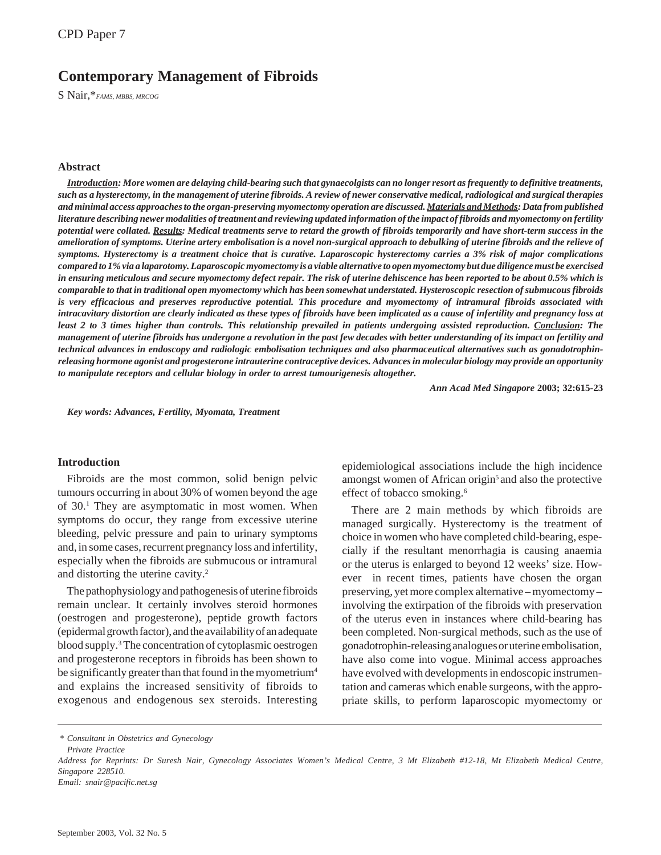# **Contemporary Management of Fibroids**

S Nair,\**FAMS, MBBS, MRCOG*

### **Abstract**

*Introduction: More women are delaying child-bearing such that gynaecolgists can no longer resort as frequently to definitive treatments, such as a hysterectomy, in the management of uterine fibroids. A review of newer conservative medical, radiological and surgical therapies and minimal access approaches to the organ-preserving myomectomy operation are discussed. Materials and Methods: Data from published literature describing newer modalities of treatment and reviewing updated information of the impact of fibroids and myomectomy on fertility potential were collated. Results: Medical treatments serve to retard the growth of fibroids temporarily and have short-term success in the amelioration of symptoms. Uterine artery embolisation is a novel non-surgical approach to debulking of uterine fibroids and the relieve of symptoms. Hysterectomy is a treatment choice that is curative. Laparoscopic hysterectomy carries a 3% risk of major complications compared to 1% via a laparotomy. Laparoscopic myomectomy is a viable alternative to open myomectomy but due diligence must be exercised in ensuring meticulous and secure myomectomy defect repair. The risk of uterine dehiscence has been reported to be about 0.5% which is comparable to that in traditional open myomectomy which has been somewhat understated. Hysteroscopic resection of submucous fibroids is very efficacious and preserves reproductive potential. This procedure and myomectomy of intramural fibroids associated with intracavitary distortion are clearly indicated as these types of fibroids have been implicated as a cause of infertility and pregnancy loss at least 2 to 3 times higher than controls. This relationship prevailed in patients undergoing assisted reproduction. Conclusion: The management of uterine fibroids has undergone a revolution in the past few decades with better understanding of its impact on fertility and technical advances in endoscopy and radiologic embolisation techniques and also pharmaceutical alternatives such as gonadotrophinreleasing hormone agonist and progesterone intrauterine contraceptive devices. Advances in molecular biology may provide an opportunity to manipulate receptors and cellular biology in order to arrest tumourigenesis altogether.*

*Ann Acad Med Singapore* **2003; 32:615-23**

*Key words: Advances, Fertility, Myomata, Treatment*

## **Introduction**

Fibroids are the most common, solid benign pelvic tumours occurring in about 30% of women beyond the age of 30.<sup>1</sup> They are asymptomatic in most women. When symptoms do occur, they range from excessive uterine bleeding, pelvic pressure and pain to urinary symptoms and, in some cases, recurrent pregnancy loss and infertility, especially when the fibroids are submucous or intramural and distorting the uterine cavity.<sup>2</sup>

The pathophysiology and pathogenesis of uterine fibroids remain unclear. It certainly involves steroid hormones (oestrogen and progesterone), peptide growth factors (epidermal growth factor), and the availability of an adequate blood supply.3 The concentration of cytoplasmic oestrogen and progesterone receptors in fibroids has been shown to be significantly greater than that found in the myometrium<sup>4</sup> and explains the increased sensitivity of fibroids to exogenous and endogenous sex steroids. Interesting

epidemiological associations include the high incidence amongst women of African origin<sup>5</sup> and also the protective effect of tobacco smoking.<sup>6</sup>

There are 2 main methods by which fibroids are managed surgically. Hysterectomy is the treatment of choice in women who have completed child-bearing, especially if the resultant menorrhagia is causing anaemia or the uterus is enlarged to beyond 12 weeks' size. However in recent times, patients have chosen the organ preserving, yet more complex alternative – myomectomy – involving the extirpation of the fibroids with preservation of the uterus even in instances where child-bearing has been completed. Non-surgical methods, such as the use of gonadotrophin-releasing analogues or uterine embolisation, have also come into vogue. Minimal access approaches have evolved with developments in endoscopic instrumentation and cameras which enable surgeons, with the appropriate skills, to perform laparoscopic myomectomy or

*<sup>\*</sup> Consultant in Obstetrics and Gynecology*

*Private Practice*

*Address for Reprints: Dr Suresh Nair, Gynecology Associates Women's Medical Centre, 3 Mt Elizabeth #12-18, Mt Elizabeth Medical Centre, Singapore 228510.*

*Email: snair@pacific.net.sg*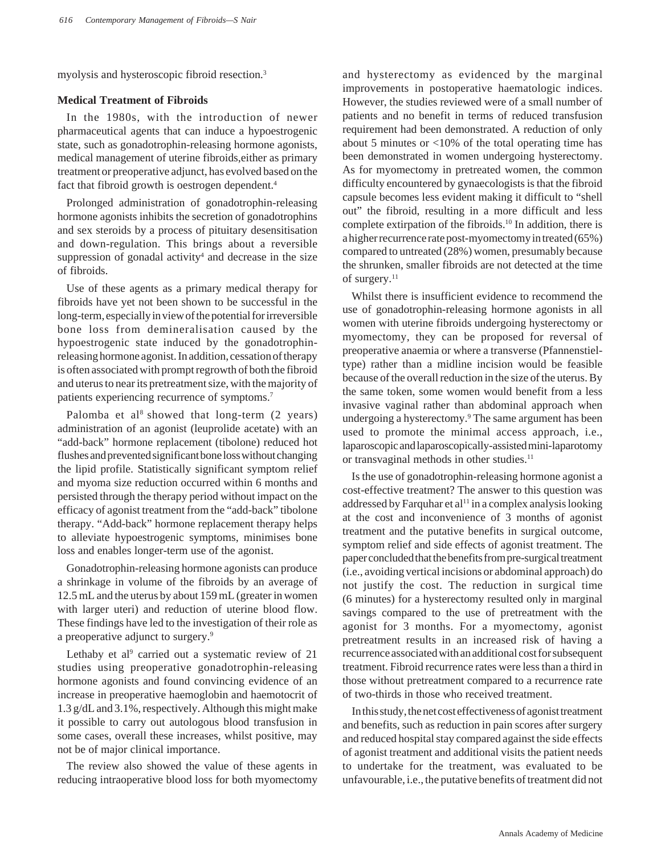myolysis and hysteroscopic fibroid resection.3

## **Medical Treatment of Fibroids**

In the 1980s, with the introduction of newer pharmaceutical agents that can induce a hypoestrogenic state, such as gonadotrophin-releasing hormone agonists, medical management of uterine fibroids,either as primary treatment or preoperative adjunct, has evolved based on the fact that fibroid growth is oestrogen dependent.<sup>4</sup>

Prolonged administration of gonadotrophin-releasing hormone agonists inhibits the secretion of gonadotrophins and sex steroids by a process of pituitary desensitisation and down-regulation. This brings about a reversible suppression of gonadal activity<sup>4</sup> and decrease in the size of fibroids.

Use of these agents as a primary medical therapy for fibroids have yet not been shown to be successful in the long-term, especially in view of the potential for irreversible bone loss from demineralisation caused by the hypoestrogenic state induced by the gonadotrophinreleasing hormone agonist. In addition, cessation of therapy is often associated with prompt regrowth of both the fibroid and uterus to near its pretreatment size, with the majority of patients experiencing recurrence of symptoms.<sup>7</sup>

Palomba et al<sup>8</sup> showed that long-term  $(2 \text{ years})$ administration of an agonist (leuprolide acetate) with an "add-back" hormone replacement (tibolone) reduced hot flushes and prevented significant bone loss without changing the lipid profile. Statistically significant symptom relief and myoma size reduction occurred within 6 months and persisted through the therapy period without impact on the efficacy of agonist treatment from the "add-back" tibolone therapy. "Add-back" hormone replacement therapy helps to alleviate hypoestrogenic symptoms, minimises bone loss and enables longer-term use of the agonist.

Gonadotrophin-releasing hormone agonists can produce a shrinkage in volume of the fibroids by an average of 12.5 mL and the uterus by about 159 mL (greater in women with larger uteri) and reduction of uterine blood flow. These findings have led to the investigation of their role as a preoperative adjunct to surgery.9

Lethaby et al<sup>9</sup> carried out a systematic review of 21 studies using preoperative gonadotrophin-releasing hormone agonists and found convincing evidence of an increase in preoperative haemoglobin and haemotocrit of 1.3 g/dL and 3.1%, respectively. Although this might make it possible to carry out autologous blood transfusion in some cases, overall these increases, whilst positive, may not be of major clinical importance.

The review also showed the value of these agents in reducing intraoperative blood loss for both myomectomy

and hysterectomy as evidenced by the marginal improvements in postoperative haematologic indices. However, the studies reviewed were of a small number of patients and no benefit in terms of reduced transfusion requirement had been demonstrated. A reduction of only about 5 minutes or <10% of the total operating time has been demonstrated in women undergoing hysterectomy. As for myomectomy in pretreated women, the common difficulty encountered by gynaecologists is that the fibroid capsule becomes less evident making it difficult to "shell out" the fibroid, resulting in a more difficult and less complete extirpation of the fibroids.<sup>10</sup> In addition, there is a higher recurrence rate post-myomectomy in treated (65%) compared to untreated (28%) women, presumably because the shrunken, smaller fibroids are not detected at the time of surgery.<sup>11</sup>

Whilst there is insufficient evidence to recommend the use of gonadotrophin-releasing hormone agonists in all women with uterine fibroids undergoing hysterectomy or myomectomy, they can be proposed for reversal of preoperative anaemia or where a transverse (Pfannenstieltype) rather than a midline incision would be feasible because of the overall reduction in the size of the uterus. By the same token, some women would benefit from a less invasive vaginal rather than abdominal approach when undergoing a hysterectomy.<sup>9</sup> The same argument has been used to promote the minimal access approach, i.e., laparoscopic and laparoscopically-assisted mini-laparotomy or transvaginal methods in other studies.<sup>11</sup>

Is the use of gonadotrophin-releasing hormone agonist a cost-effective treatment? The answer to this question was addressed by Farquhar et al<sup>11</sup> in a complex analysis looking at the cost and inconvenience of 3 months of agonist treatment and the putative benefits in surgical outcome, symptom relief and side effects of agonist treatment. The paper concluded that the benefits from pre-surgical treatment (i.e., avoiding vertical incisions or abdominal approach) do not justify the cost. The reduction in surgical time (6 minutes) for a hysterectomy resulted only in marginal savings compared to the use of pretreatment with the agonist for 3 months. For a myomectomy, agonist pretreatment results in an increased risk of having a recurrence associated with an additional cost for subsequent treatment. Fibroid recurrence rates were less than a third in those without pretreatment compared to a recurrence rate of two-thirds in those who received treatment.

In this study, the net cost effectiveness of agonist treatment and benefits, such as reduction in pain scores after surgery and reduced hospital stay compared against the side effects of agonist treatment and additional visits the patient needs to undertake for the treatment, was evaluated to be unfavourable, i.e., the putative benefits of treatment did not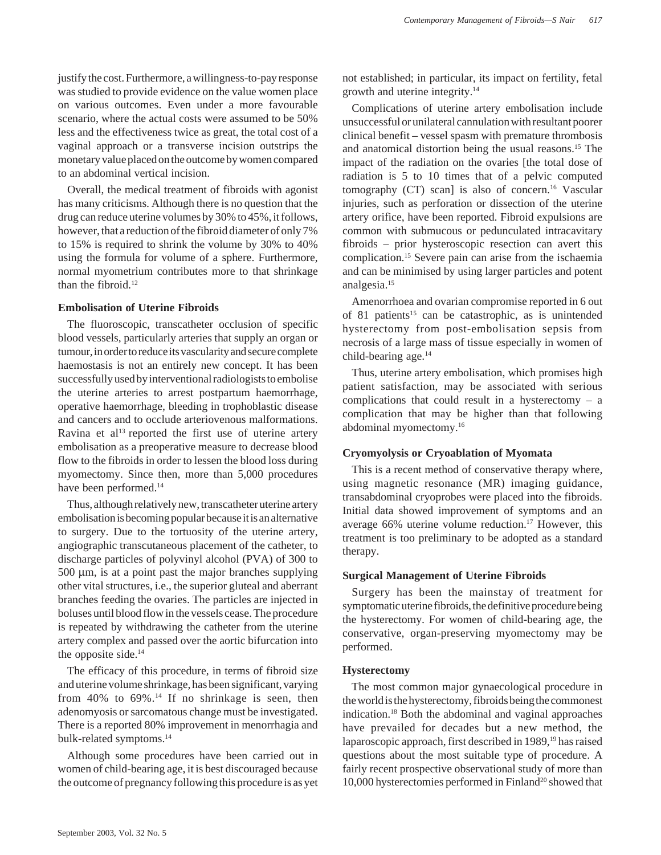justify the cost. Furthermore, a willingness-to-pay response was studied to provide evidence on the value women place on various outcomes. Even under a more favourable scenario, where the actual costs were assumed to be 50% less and the effectiveness twice as great, the total cost of a vaginal approach or a transverse incision outstrips the monetary value placed on the outcome by women compared to an abdominal vertical incision.

Overall, the medical treatment of fibroids with agonist has many criticisms. Although there is no question that the drug can reduce uterine volumes by 30% to 45%, it follows, however, that a reduction of the fibroid diameter of only 7% to 15% is required to shrink the volume by 30% to 40% using the formula for volume of a sphere. Furthermore, normal myometrium contributes more to that shrinkage than the fibroid.<sup>12</sup>

### **Embolisation of Uterine Fibroids**

The fluoroscopic, transcatheter occlusion of specific blood vessels, particularly arteries that supply an organ or tumour, in order to reduce its vascularity and secure complete haemostasis is not an entirely new concept. It has been successfully used by interventional radiologists to embolise the uterine arteries to arrest postpartum haemorrhage, operative haemorrhage, bleeding in trophoblastic disease and cancers and to occlude arteriovenous malformations. Ravina et al<sup>13</sup> reported the first use of uterine artery embolisation as a preoperative measure to decrease blood flow to the fibroids in order to lessen the blood loss during myomectomy. Since then, more than 5,000 procedures have been performed.<sup>14</sup>

Thus, although relatively new, transcatheter uterine artery embolisation is becoming popular because it is an alternative to surgery. Due to the tortuosity of the uterine artery, angiographic transcutaneous placement of the catheter, to discharge particles of polyvinyl alcohol (PVA) of 300 to 500 µm, is at a point past the major branches supplying other vital structures, i.e., the superior gluteal and aberrant branches feeding the ovaries. The particles are injected in boluses until blood flow in the vessels cease. The procedure is repeated by withdrawing the catheter from the uterine artery complex and passed over the aortic bifurcation into the opposite side.<sup>14</sup>

The efficacy of this procedure, in terms of fibroid size and uterine volume shrinkage, has been significant, varying from  $40\%$  to  $69\%$ .<sup>14</sup> If no shrinkage is seen, then adenomyosis or sarcomatous change must be investigated. There is a reported 80% improvement in menorrhagia and bulk-related symptoms.14

Although some procedures have been carried out in women of child-bearing age, it is best discouraged because the outcome of pregnancy following this procedure is as yet

not established; in particular, its impact on fertility, fetal growth and uterine integrity.14

Complications of uterine artery embolisation include unsuccessful or unilateral cannulation with resultant poorer clinical benefit – vessel spasm with premature thrombosis and anatomical distortion being the usual reasons.15 The impact of the radiation on the ovaries [the total dose of radiation is 5 to 10 times that of a pelvic computed tomography (CT) scan] is also of concern.<sup>16</sup> Vascular injuries, such as perforation or dissection of the uterine artery orifice, have been reported. Fibroid expulsions are common with submucous or pedunculated intracavitary fibroids – prior hysteroscopic resection can avert this complication.15 Severe pain can arise from the ischaemia and can be minimised by using larger particles and potent analgesia.15

Amenorrhoea and ovarian compromise reported in 6 out of 81 patients<sup>15</sup> can be catastrophic, as is unintended hysterectomy from post-embolisation sepsis from necrosis of a large mass of tissue especially in women of child-bearing age.14

Thus, uterine artery embolisation, which promises high patient satisfaction, may be associated with serious complications that could result in a hysterectomy – a complication that may be higher than that following abdominal myomectomy.16

## **Cryomyolysis or Cryoablation of Myomata**

This is a recent method of conservative therapy where, using magnetic resonance (MR) imaging guidance, transabdominal cryoprobes were placed into the fibroids. Initial data showed improvement of symptoms and an average 66% uterine volume reduction.<sup>17</sup> However, this treatment is too preliminary to be adopted as a standard therapy.

## **Surgical Management of Uterine Fibroids**

Surgery has been the mainstay of treatment for symptomatic uterine fibroids, the definitive procedure being the hysterectomy. For women of child-bearing age, the conservative, organ-preserving myomectomy may be performed.

## **Hysterectomy**

The most common major gynaecological procedure in the world is the hysterectomy, fibroids being the commonest indication.18 Both the abdominal and vaginal approaches have prevailed for decades but a new method, the laparoscopic approach, first described in 1989,<sup>19</sup> has raised questions about the most suitable type of procedure. A fairly recent prospective observational study of more than 10,000 hysterectomies performed in Finland<sup>20</sup> showed that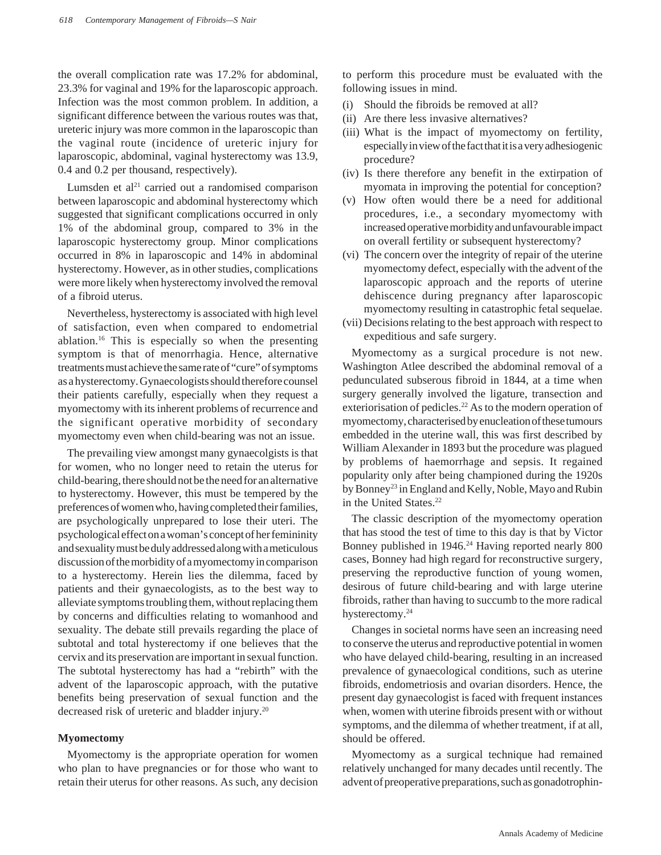the overall complication rate was 17.2% for abdominal, 23.3% for vaginal and 19% for the laparoscopic approach. Infection was the most common problem. In addition, a significant difference between the various routes was that, ureteric injury was more common in the laparoscopic than the vaginal route (incidence of ureteric injury for laparoscopic, abdominal, vaginal hysterectomy was 13.9, 0.4 and 0.2 per thousand, respectively).

Lumsden et al $^{21}$  carried out a randomised comparison between laparoscopic and abdominal hysterectomy which suggested that significant complications occurred in only 1% of the abdominal group, compared to 3% in the laparoscopic hysterectomy group. Minor complications occurred in 8% in laparoscopic and 14% in abdominal hysterectomy. However, as in other studies, complications were more likely when hysterectomy involved the removal of a fibroid uterus.

Nevertheless, hysterectomy is associated with high level of satisfaction, even when compared to endometrial ablation.16 This is especially so when the presenting symptom is that of menorrhagia. Hence, alternative treatments must achieve the same rate of "cure" of symptoms as a hysterectomy. Gynaecologists should therefore counsel their patients carefully, especially when they request a myomectomy with its inherent problems of recurrence and the significant operative morbidity of secondary myomectomy even when child-bearing was not an issue.

The prevailing view amongst many gynaecolgists is that for women, who no longer need to retain the uterus for child-bearing, there should not be the need for an alternative to hysterectomy. However, this must be tempered by the preferences of women who, having completed their families, are psychologically unprepared to lose their uteri. The psychological effect on a woman's concept of her femininity and sexuality must be duly addressed along with a meticulous discussion of the morbidity of a myomectomy in comparison to a hysterectomy. Herein lies the dilemma, faced by patients and their gynaecologists, as to the best way to alleviate symptoms troubling them, without replacing them by concerns and difficulties relating to womanhood and sexuality. The debate still prevails regarding the place of subtotal and total hysterectomy if one believes that the cervix and its preservation are important in sexual function. The subtotal hysterectomy has had a "rebirth" with the advent of the laparoscopic approach, with the putative benefits being preservation of sexual function and the decreased risk of ureteric and bladder injury.20

### **Myomectomy**

Myomectomy is the appropriate operation for women who plan to have pregnancies or for those who want to retain their uterus for other reasons. As such, any decision

to perform this procedure must be evaluated with the following issues in mind.

- (i) Should the fibroids be removed at all?
- (ii) Are there less invasive alternatives?
- (iii) What is the impact of myomectomy on fertility, especially in view of the fact that it is a very adhesiogenic procedure?
- (iv) Is there therefore any benefit in the extirpation of myomata in improving the potential for conception?
- (v) How often would there be a need for additional procedures, i.e., a secondary myomectomy with increased operative morbidity and unfavourable impact on overall fertility or subsequent hysterectomy?
- (vi) The concern over the integrity of repair of the uterine myomectomy defect, especially with the advent of the laparoscopic approach and the reports of uterine dehiscence during pregnancy after laparoscopic myomectomy resulting in catastrophic fetal sequelae.
- (vii) Decisions relating to the best approach with respect to expeditious and safe surgery.

Myomectomy as a surgical procedure is not new. Washington Atlee described the abdominal removal of a pedunculated subserous fibroid in 1844, at a time when surgery generally involved the ligature, transection and exteriorisation of pedicles.<sup>22</sup> As to the modern operation of myomectomy, characterised by enucleation of these tumours embedded in the uterine wall, this was first described by William Alexander in 1893 but the procedure was plagued by problems of haemorrhage and sepsis. It regained popularity only after being championed during the 1920s by Bonney<sup>23</sup> in England and Kelly, Noble, Mayo and Rubin in the United States.22

The classic description of the myomectomy operation that has stood the test of time to this day is that by Victor Bonney published in 1946.<sup>24</sup> Having reported nearly 800 cases, Bonney had high regard for reconstructive surgery, preserving the reproductive function of young women, desirous of future child-bearing and with large uterine fibroids, rather than having to succumb to the more radical hysterectomy.<sup>24</sup>

Changes in societal norms have seen an increasing need to conserve the uterus and reproductive potential in women who have delayed child-bearing, resulting in an increased prevalence of gynaecological conditions, such as uterine fibroids, endometriosis and ovarian disorders. Hence, the present day gynaecologist is faced with frequent instances when, women with uterine fibroids present with or without symptoms, and the dilemma of whether treatment, if at all, should be offered.

Myomectomy as a surgical technique had remained relatively unchanged for many decades until recently. The advent of preoperative preparations, such as gonadotrophin-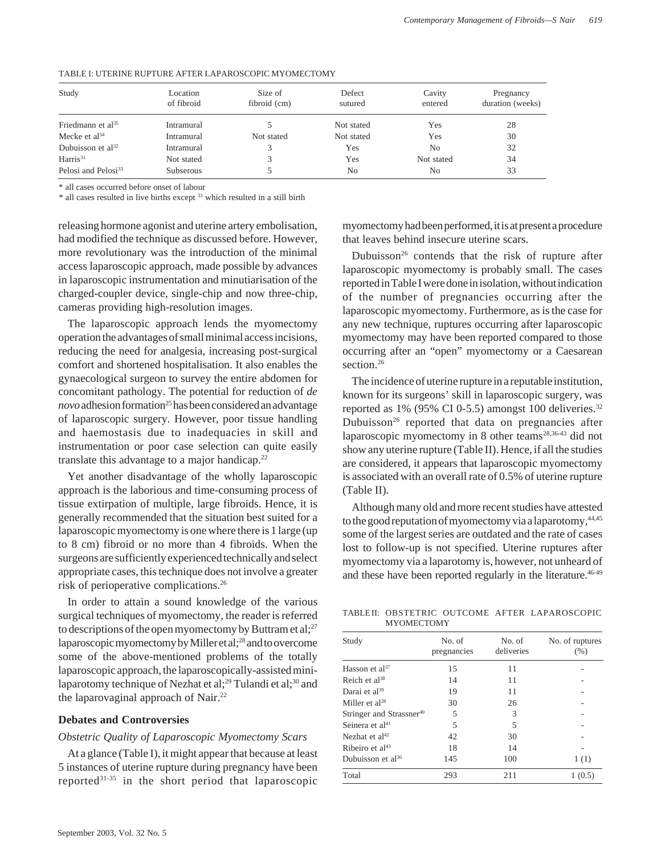| Study                           | Location<br>of fibroid | Size of<br>fibroid (cm) | Defect<br>sutured | Cavity<br>entered | Pregnancy<br>duration (weeks) |
|---------------------------------|------------------------|-------------------------|-------------------|-------------------|-------------------------------|
| Friedmann et al <sup>35</sup>   | Intramural             |                         | Not stated        | Yes               | 28                            |
| Mecke et al <sup>34</sup>       | Intramural             | Not stated              | Not stated        | Yes               | 30                            |
| Dubuisson et $al^{32}$          | Intramural             |                         | Yes               | No                | 32                            |
| Harris <sup>31</sup>            | Not stated             |                         | Yes               | Not stated        | 34                            |
| Pelosi and Pelosi <sup>33</sup> | <b>Subserous</b>       |                         | N <sub>o</sub>    | No                | 33                            |

### TABLE I: UTERINE RUPTURE AFTER LAPAROSCOPIC MYOMECTOMY

\* all cases occurred before onset of labour

\* all cases resulted in live births except 33 which resulted in a still birth

releasing hormone agonist and uterine artery embolisation, had modified the technique as discussed before. However, more revolutionary was the introduction of the minimal access laparoscopic approach, made possible by advances in laparoscopic instrumentation and minutiarisation of the charged-coupler device, single-chip and now three-chip, cameras providing high-resolution images.

The laparoscopic approach lends the myomectomy operation the advantages of small minimal access incisions, reducing the need for analgesia, increasing post-surgical comfort and shortened hospitalisation. It also enables the gynaecological surgeon to survey the entire abdomen for concomitant pathology. The potential for reduction of *de novo* adhesion formation<sup>25</sup> has been considered an advantage of laparoscopic surgery. However, poor tissue handling and haemostasis due to inadequacies in skill and instrumentation or poor case selection can quite easily translate this advantage to a major handicap.22

Yet another disadvantage of the wholly laparoscopic approach is the laborious and time-consuming process of tissue extirpation of multiple, large fibroids. Hence, it is generally recommended that the situation best suited for a laparoscopic myomectomy is one where there is 1 large (up to 8 cm) fibroid or no more than 4 fibroids. When the surgeons are sufficiently experienced technically and select appropriate cases, this technique does not involve a greater risk of perioperative complications.26

In order to attain a sound knowledge of the various surgical techniques of myomectomy, the reader is referred to descriptions of the open myomectomy by Buttram et al;<sup>27</sup> laparoscopic myomectomy by Miller et al;28 and to overcome some of the above-mentioned problems of the totally laparoscopic approach, the laparoscopically-assisted minilaparotomy technique of Nezhat et al;<sup>29</sup> Tulandi et al;<sup>30</sup> and the laparovaginal approach of Nair. $22$ 

### **Debates and Controversies**

### *Obstetric Quality of Laparoscopic Myomectomy Scars*

At a glance (Table I), it might appear that because at least 5 instances of uterine rupture during pregnancy have been reported $31-35$  in the short period that laparoscopic

myomectomy had been performed, it is at present a procedure that leaves behind insecure uterine scars.

Dubuisson<sup>26</sup> contends that the risk of rupture after laparoscopic myomectomy is probably small. The cases reported in Table I were done in isolation, without indication of the number of pregnancies occurring after the laparoscopic myomectomy. Furthermore, as is the case for any new technique, ruptures occurring after laparoscopic myomectomy may have been reported compared to those occurring after an "open" myomectomy or a Caesarean section.<sup>26</sup>

The incidence of uterine rupture in a reputable institution, known for its surgeons' skill in laparoscopic surgery, was reported as  $1\%$  (95% CI 0-5.5) amongst 100 deliveries.<sup>32</sup> Dubuisson<sup>26</sup> reported that data on pregnancies after laparoscopic myomectomy in 8 other teams<sup>28,36-43</sup> did not show any uterine rupture (Table II). Hence, if all the studies are considered, it appears that laparoscopic myomectomy is associated with an overall rate of 0.5% of uterine rupture (Table II).

Although many old and more recent studies have attested to the good reputation of myomectomy via a laparotomy, 44,45 some of the largest series are outdated and the rate of cases lost to follow-up is not specified. Uterine ruptures after myomectomy via a laparotomy is, however, not unheard of and these have been reported regularly in the literature.<sup>46-49</sup>

TABLE II: OBSTETRIC OUTCOME AFTER LAPAROSCOPIC **MYOMECTOMY** 

| Study                                | No. of<br>pregnancies | No. of<br>deliveries | No. of ruptures<br>(% ) |
|--------------------------------------|-----------------------|----------------------|-------------------------|
| Hasson et $al^{37}$                  | 15                    | 11                   |                         |
| Reich et $al^{38}$                   | 14                    | 11                   |                         |
| Darai et al <sup>39</sup>            | 19                    | 11                   |                         |
| Miller et $al^{28}$                  | 30                    | 26                   |                         |
| Stringer and Strassner <sup>40</sup> | 5                     | 3                    |                         |
| Seinera et al <sup>41</sup>          | 5                     | 5                    |                         |
| Nezhat et $al42$                     | 42                    | 30                   |                         |
| Ribeiro et al $43$                   | 18                    | 14                   |                         |
| Dubuisson et $a^{36}$                | 145                   | 100                  | 1(1)                    |
| Total                                | 293                   | 211                  | 1(0.5)                  |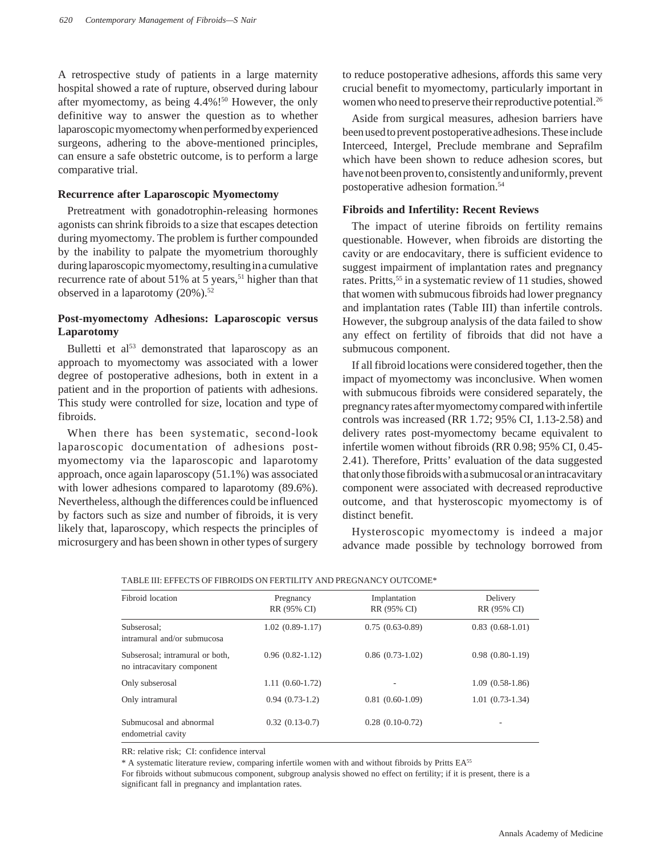A retrospective study of patients in a large maternity hospital showed a rate of rupture, observed during labour after myomectomy, as being  $4.4\%$ !<sup>50</sup> However, the only definitive way to answer the question as to whether laparoscopic myomectomy when performed by experienced surgeons, adhering to the above-mentioned principles, can ensure a safe obstetric outcome, is to perform a large comparative trial.

## **Recurrence after Laparoscopic Myomectomy**

Pretreatment with gonadotrophin-releasing hormones agonists can shrink fibroids to a size that escapes detection during myomectomy. The problem is further compounded by the inability to palpate the myometrium thoroughly during laparoscopic myomectomy, resulting in a cumulative recurrence rate of about  $51\%$  at 5 years,<sup>51</sup> higher than that observed in a laparotomy (20%).<sup>52</sup>

## **Post-myomectomy Adhesions: Laparoscopic versus Laparotomy**

Bulletti et al<sup>53</sup> demonstrated that laparoscopy as an approach to myomectomy was associated with a lower degree of postoperative adhesions, both in extent in a patient and in the proportion of patients with adhesions. This study were controlled for size, location and type of fibroids.

When there has been systematic, second-look laparoscopic documentation of adhesions postmyomectomy via the laparoscopic and laparotomy approach, once again laparoscopy (51.1%) was associated with lower adhesions compared to laparotomy (89.6%). Nevertheless, although the differences could be influenced by factors such as size and number of fibroids, it is very likely that, laparoscopy, which respects the principles of microsurgery and has been shown in other types of surgery

to reduce postoperative adhesions, affords this same very crucial benefit to myomectomy, particularly important in women who need to preserve their reproductive potential.<sup>26</sup>

Aside from surgical measures, adhesion barriers have been used to prevent postoperative adhesions. These include Interceed, Intergel, Preclude membrane and Seprafilm which have been shown to reduce adhesion scores, but have not been proven to, consistently and uniformly, prevent postoperative adhesion formation.54

## **Fibroids and Infertility: Recent Reviews**

The impact of uterine fibroids on fertility remains questionable. However, when fibroids are distorting the cavity or are endocavitary, there is sufficient evidence to suggest impairment of implantation rates and pregnancy rates. Pritts,<sup>55</sup> in a systematic review of 11 studies, showed that women with submucous fibroids had lower pregnancy and implantation rates (Table III) than infertile controls. However, the subgroup analysis of the data failed to show any effect on fertility of fibroids that did not have a submucous component.

If all fibroid locations were considered together, then the impact of myomectomy was inconclusive. When women with submucous fibroids were considered separately, the pregnancy rates after myomectomy compared with infertile controls was increased (RR 1.72; 95% CI, 1.13-2.58) and delivery rates post-myomectomy became equivalent to infertile women without fibroids (RR 0.98; 95% CI, 0.45- 2.41). Therefore, Pritts' evaluation of the data suggested that only those fibroids with a submucosal or an intracavitary component were associated with decreased reproductive outcome, and that hysteroscopic myomectomy is of distinct benefit.

Hysteroscopic myomectomy is indeed a major advance made possible by technology borrowed from

| Fibroid location                                              | Pregnancy<br>RR (95% CI) | Implantation<br>RR (95% CI) | Delivery<br>RR (95% CI) |  |  |  |
|---------------------------------------------------------------|--------------------------|-----------------------------|-------------------------|--|--|--|
| Subserosal:<br>intramural and/or submucosa                    | $1.02(0.89-1.17)$        | $0.75(0.63-0.89)$           | $0.83(0.68-1.01)$       |  |  |  |
| Subserosal; intramural or both,<br>no intracavitary component | $0.96(0.82-1.12)$        | $0.86(0.73-1.02)$           | $0.98(0.80-1.19)$       |  |  |  |
| Only subserosal                                               | $1.11(0.60-1.72)$        |                             | $1.09(0.58-1.86)$       |  |  |  |
| Only intramural                                               | $0.94(0.73-1.2)$         | $0.81(0.60-1.09)$           | $1.01(0.73-1.34)$       |  |  |  |
| Submucosal and abnormal<br>endometrial cavity                 | $0.32(0.13-0.7)$         | $0.28(0.10-0.72)$           | -                       |  |  |  |

TABLE III: EFFECTS OF FIBROIDS ON FERTILITY AND PREGNANCY OUTCOME\*

RR: relative risk; CI: confidence interval

\* A systematic literature review, comparing infertile women with and without fibroids by Pritts EA55

For fibroids without submucous component, subgroup analysis showed no effect on fertility; if it is present, there is a significant fall in pregnancy and implantation rates.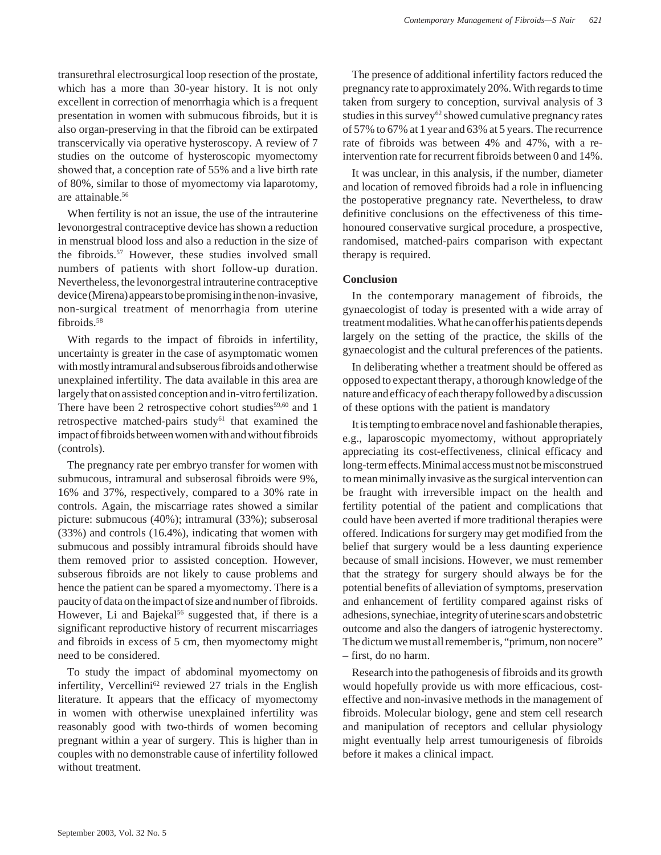transurethral electrosurgical loop resection of the prostate, which has a more than 30-year history. It is not only excellent in correction of menorrhagia which is a frequent presentation in women with submucous fibroids, but it is also organ-preserving in that the fibroid can be extirpated transcervically via operative hysteroscopy. A review of 7 studies on the outcome of hysteroscopic myomectomy showed that, a conception rate of 55% and a live birth rate of 80%, similar to those of myomectomy via laparotomy, are attainable.56

When fertility is not an issue, the use of the intrauterine levonorgestral contraceptive device has shown a reduction in menstrual blood loss and also a reduction in the size of the fibroids.57 However, these studies involved small numbers of patients with short follow-up duration. Nevertheless, the levonorgestral intrauterine contraceptive device (Mirena) appears to be promising in the non-invasive, non-surgical treatment of menorrhagia from uterine fibroids.58

With regards to the impact of fibroids in infertility, uncertainty is greater in the case of asymptomatic women with mostly intramural and subserous fibroids and otherwise unexplained infertility. The data available in this area are largely that on assisted conception and in-vitro fertilization. There have been 2 retrospective cohort studies $59,60$  and 1 retrospective matched-pairs study<sup>61</sup> that examined the impact of fibroids between women with and without fibroids (controls).

The pregnancy rate per embryo transfer for women with submucous, intramural and subserosal fibroids were 9%, 16% and 37%, respectively, compared to a 30% rate in controls. Again, the miscarriage rates showed a similar picture: submucous (40%); intramural (33%); subserosal (33%) and controls (16.4%), indicating that women with submucous and possibly intramural fibroids should have them removed prior to assisted conception. However, subserous fibroids are not likely to cause problems and hence the patient can be spared a myomectomy. There is a paucity of data on the impact of size and number of fibroids. However, Li and Bajekal<sup>56</sup> suggested that, if there is a significant reproductive history of recurrent miscarriages and fibroids in excess of 5 cm, then myomectomy might need to be considered.

To study the impact of abdominal myomectomy on infertility, Vercellini<sup>62</sup> reviewed 27 trials in the English literature. It appears that the efficacy of myomectomy in women with otherwise unexplained infertility was reasonably good with two-thirds of women becoming pregnant within a year of surgery. This is higher than in couples with no demonstrable cause of infertility followed without treatment.

The presence of additional infertility factors reduced the pregnancy rate to approximately 20%. With regards to time taken from surgery to conception, survival analysis of 3 studies in this survey<sup>62</sup> showed cumulative pregnancy rates of 57% to 67% at 1 year and 63% at 5 years. The recurrence rate of fibroids was between 4% and 47%, with a reintervention rate for recurrent fibroids between 0 and 14%.

It was unclear, in this analysis, if the number, diameter and location of removed fibroids had a role in influencing the postoperative pregnancy rate. Nevertheless, to draw definitive conclusions on the effectiveness of this timehonoured conservative surgical procedure, a prospective, randomised, matched-pairs comparison with expectant therapy is required.

### **Conclusion**

In the contemporary management of fibroids, the gynaecologist of today is presented with a wide array of treatment modalities. What he can offer his patients depends largely on the setting of the practice, the skills of the gynaecologist and the cultural preferences of the patients.

In deliberating whether a treatment should be offered as opposed to expectant therapy, a thorough knowledge of the nature and efficacy of each therapy followed by a discussion of these options with the patient is mandatory

It is tempting to embrace novel and fashionable therapies, e.g., laparoscopic myomectomy, without appropriately appreciating its cost-effectiveness, clinical efficacy and long-term effects. Minimal access must not be misconstrued to mean minimally invasive as the surgical intervention can be fraught with irreversible impact on the health and fertility potential of the patient and complications that could have been averted if more traditional therapies were offered. Indications for surgery may get modified from the belief that surgery would be a less daunting experience because of small incisions. However, we must remember that the strategy for surgery should always be for the potential benefits of alleviation of symptoms, preservation and enhancement of fertility compared against risks of adhesions, synechiae, integrity of uterine scars and obstetric outcome and also the dangers of iatrogenic hysterectomy. The dictum we must all remember is, "primum, non nocere" – first, do no harm.

Research into the pathogenesis of fibroids and its growth would hopefully provide us with more efficacious, costeffective and non-invasive methods in the management of fibroids. Molecular biology, gene and stem cell research and manipulation of receptors and cellular physiology might eventually help arrest tumourigenesis of fibroids before it makes a clinical impact.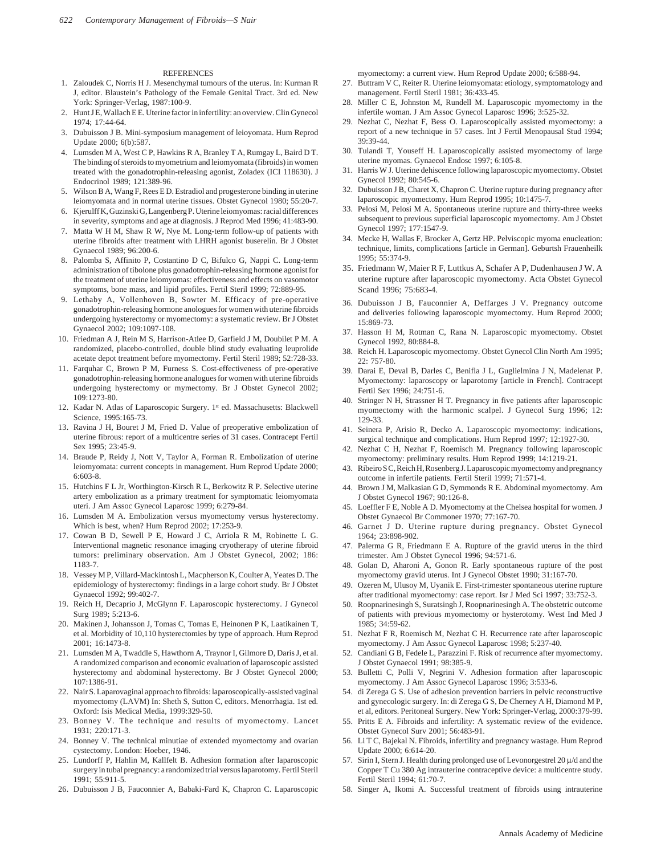#### **REFERENCES**

- 1. Zaloudek C, Norris H J. Mesenchymal tumours of the uterus. In: Kurman R J, editor. Blaustein's Pathology of the Female Genital Tract. 3rd ed. New York: Springer-Verlag, 1987:100-9.
- 2. Hunt J E, Wallach E E. Uterine factor in infertility: an overview. Clin Gynecol 1974; 17:44-64.
- 3. Dubuisson J B. Mini-symposium management of leioyomata. Hum Reprod Update 2000; 6(b):587.
- 4. Lumsden M A, West C P, Hawkins R A, Branley T A, Rumgay L, Baird D T. The binding of steroids to myometrium and leiomyomata (fibroids) in women treated with the gonadotrophin-releasing agonist, Zoladex (ICI 118630). J Endocrinol 1989; 121:389-96.
- 5. Wilson B A, Wang F, Rees E D. Estradiol and progesterone binding in uterine leiomyomata and in normal uterine tissues. Obstet Gynecol 1980; 55:20-7.
- 6. Kjerulff K, Guzinski G, Langenberg P. Uterine leiomyomas: racial differences in severity, symptoms and age at diagnosis. J Reprod Med 1996; 41:483-90.
- 7. Matta W H M, Shaw R W, Nye M. Long-term follow-up of patients with uterine fibroids after treatment with LHRH agonist buserelin. Br J Obstet Gynaecol 1989; 96:200-6.
- 8. Palomba S, Affinito P, Costantino D C, Bifulco G, Nappi C. Long-term administration of tibolone plus gonadotrophin-releasing hormone agonist for the treatment of uterine leiomyomas: effectiveness and effects on vasomotor symptoms, bone mass, and lipid profiles. Fertil Steril 1999; 72:889-95.
- 9. Lethaby A, Vollenhoven B, Sowter M. Efficacy of pre-operative gonadotrophin-releasing hormone anologues for women with uterine fibroids undergoing hysterectomy or myomectomy: a systematic review. Br J Obstet Gynaecol 2002; 109:1097-108.
- 10. Friedman A J, Rein M S, Harrison-Atlee D, Garfield J M, Doubilet P M. A randomized, placebo-controlled, double blind study evaluating leuprolide acetate depot treatment before myomectomy. Fertil Steril 1989; 52:728-33.
- 11. Farquhar C, Brown P M, Furness S. Cost-effectiveness of pre-operative gonadotrophin-releasing hormone analogues for women with uterine fibroids undergoing hysterectomy or mymectomy. Br J Obstet Gynecol 2002; 109:1273-80.
- 12. Kadar N. Atlas of Laparoscopic Surgery. 1<sup>st</sup> ed. Massachusetts: Blackwell Science, 1995:165-73.
- 13. Ravina J H, Bouret J M, Fried D. Value of preoperative embolization of uterine fibrous: report of a multicentre series of 31 cases. Contracept Fertil Sex 1995; 23:45-9.
- 14. Braude P, Reidy J, Nott V, Taylor A, Forman R. Embolization of uterine leiomyomata: current concepts in management. Hum Reprod Update 2000; 6:603-8.
- 15. Hutchins F L Jr, Worthington-Kirsch R L, Berkowitz R P. Selective uterine artery embolization as a primary treatment for symptomatic leiomyomata uteri. J Am Assoc Gynecol Laparosc 1999; 6:279-84.
- 16. Lumsden M A. Embolization versus myomectomy versus hysterectomy. Which is best, when? Hum Reprod 2002; 17:253-9.
- 17. Cowan B D, Sewell P E, Howard J C, Arriola R M, Robinette L G. Interventional magnetic resonance imaging cryotherapy of uterine fibroid tumors: preliminary observation. Am J Obstet Gynecol, 2002; 186: 1183-7.
- 18. Vessey M P, Villard-Mackintosh L, Macpherson K, Coulter A, Yeates D. The epidemiology of hysterectomy: findings in a large cohort study. Br J Obstet Gynaecol 1992; 99:402-7.
- 19. Reich H, Decaprio J, McGlynn F. Laparoscopic hysterectomy. J Gynecol Surg 1989; 5:213-6.
- 20. Makinen J, Johansson J, Tomas C, Tomas E, Heinonen P K, Laatikainen T, et al. Morbidity of 10,110 hysterectomies by type of approach. Hum Reprod 2001; 16:1473-8.
- 21. Lumsden M A, Twaddle S, Hawthorn A, Traynor I, Gilmore D, Daris J, et al. A randomized comparison and economic evaluation of laparoscopic assisted hysterectomy and abdominal hysterectomy. Br J Obstet Gynecol 2000; 107:1386-91.
- 22. Nair S. Laparovaginal approach to fibroids: laparoscopically-assisted vaginal myomectomy (LAVM) In: Sheth S, Sutton C, editors. Menorrhagia. 1st ed. Oxford: Isis Medical Media, 1999:329-50.
- 23. Bonney V. The technique and results of myomectomy. Lancet 1931; 220:171-3.
- 24. Bonney V. The technical minutiae of extended myomectomy and ovarian cystectomy. London: Hoeber, 1946.
- 25. Lundorff P, Hahlin M, Kallfelt B. Adhesion formation after laparoscopic surgery in tubal pregnancy: a randomized trial versus laparotomy. Fertil Steril 1991; 55:911-5.
- 26. Dubuisson J B, Fauconnier A, Babaki-Fard K, Chapron C. Laparoscopic

myomectomy: a current view. Hum Reprod Update 2000; 6:588-94.

- 27. Buttram V C, Reiter R. Uterine leiomyomata: etiology, symptomatology and management. Fertil Steril 1981; 36:433-45.
- 28. Miller C E, Johnston M, Rundell M. Laparoscopic myomectomy in the infertile woman. J Am Assoc Gynecol Laparosc 1996; 3:525-32.
- 29. Nezhat C, Nezhat F, Bess O. Laparoscopically assisted myomectomy: a report of a new technique in 57 cases. Int J Fertil Menopausal Stud 1994; 39:39-44.
- 30. Tulandi T, Youseff H. Laparoscopically assisted myomectomy of large uterine myomas. Gynaecol Endosc 1997; 6:105-8.
- Harris W J. Uterine dehiscence following laparoscopic myomectomy. Obstet Gynecol 1992; 80:545-6.
- 32. Dubuisson J B, Charet X, Chapron C. Uterine rupture during pregnancy after laparoscopic myomectomy. Hum Reprod 1995; 10:1475-7.
- 33. Pelosi M, Pelosi M A. Spontaneous uterine rupture and thirty-three weeks subsequent to previous superficial laparoscopic myomectomy. Am J Obstet Gynecol 1997; 177:1547-9.
- 34. Mecke H, Wallas F, Brocker A, Gertz HP. Pelviscopic myoma enucleation: technique, limits, complications [article in German]. Geburtsh Frauenheilk 1995; 55:374-9.
- 35. Friedmann W, Maier R F, Luttkus A, Schafer A P, Dudenhausen J W. A uterine rupture after laparoscopic myomectomy. Acta Obstet Gynecol Scand 1996; 75:683-4.
- 36. Dubuisson J B, Fauconnier A, Deffarges J V. Pregnancy outcome and deliveries following laparoscopic myomectomy. Hum Reprod 2000; 15:869-73.
- 37. Hasson H M, Rotman C, Rana N. Laparoscopic myomectomy. Obstet Gynecol 1992, 80:884-8.
- 38. Reich H. Laparoscopic myomectomy. Obstet Gynecol Clin North Am 1995; 22: 757-80.
- 39. Darai E, Deval B, Darles C, Benifla J L, Guglielmina J N, Madelenat P. Myomectomy: laparoscopy or laparotomy [article in French]. Contracept Fertil Sex 1996; 24:751-6.
- 40. Stringer N H, Strassner H T. Pregnancy in five patients after laparoscopic myomectomy with the harmonic scalpel. J Gynecol Surg 1996; 12: 129-33.
- 41. Seinera P, Arisio R, Decko A. Laparoscopic myomectomy: indications, surgical technique and complications. Hum Reprod 1997; 12:1927-30.
- 42. Nezhat C H, Nezhat F, Roemisch M. Pregnancy following laparoscopic myomectomy: preliminary results. Hum Reprod 1999; 14:1219-21.
- 43. Ribeiro S C, Reich H, Rosenberg J. Laparoscopic myomectomy and pregnancy outcome in infertile patients. Fertil Steril 1999; 71:571-4.
- 44. Brown J M, Malkasian G D, Symmonds R E. Abdominal myomectomy. Am J Obstet Gynecol 1967; 90:126-8.
- 45. Loeffler F E, Noble A D. Myomectomy at the Chelsea hospital for women. J Obstet Gynaecol Br Commoner 1970; 77:167-70.
- 46. Garnet J D. Uterine rupture during pregnancy. Obstet Gynecol 1964; 23:898-902.
- 47. Palerma G R, Friedmann E A. Rupture of the gravid uterus in the third trimester. Am J Obstet Gynecol 1996; 94:571-6.
- 48. Golan D, Aharoni A, Gonon R. Early spontaneous rupture of the post myomectomy gravid uterus. Int J Gynecol Obstet 1990; 31:167-70.
- 49. Ozeren M, Ulusoy M, Uyanik E. First-trimester spontaneous uterine rupture after traditional myomectomy: case report. Isr J Med Sci 1997; 33:752-3.
- 50. Roopnarinesingh S, Suratsingh J, Roopnarinesingh A. The obstetric outcome of patients with previous myomectomy or hysterotomy. West Ind Med J 1985; 34:59-62.
- 51. Nezhat F R, Roemisch M, Nezhat C H. Recurrence rate after laparoscopic myomectomy. J Am Assoc Gynecol Laparosc 1998; 5:237-40.
- 52. Candiani G B, Fedele L, Parazzini F. Risk of recurrence after myomectomy. J Obstet Gynaecol 1991; 98:385-9.
- 53. Bulletti C, Polli V, Negrini V. Adhesion formation after laparoscopic myomectomy. J Am Assoc Gynecol Laparosc 1996; 3:533-6.
- 54. di Zerega G S. Use of adhesion prevention barriers in pelvic reconstructive and gynecologic surgery. In: di Zerega G S, De Cherney A H, Diamond M P, et al, editors. Peritoneal Surgery. New York: Springer-Verlag, 2000:379-99.
- 55. Pritts E A. Fibroids and infertility: A systematic review of the evidence. Obstet Gynecol Surv 2001; 56:483-91.
- 56. Li T C, Bajekal N. Fibroids, infertility and pregnancy wastage. Hum Reprod Update 2000; 6:614-20.
- 57. Sirin I, Stern J. Health during prolonged use of Levonorgestrel 20 µ/d and the Copper T Cu 380 Ag intrauterine contraceptive device: a multicentre study. Fertil Steril 1994; 61:70-7.
- 58. Singer A, Ikomi A. Successful treatment of fibroids using intrauterine